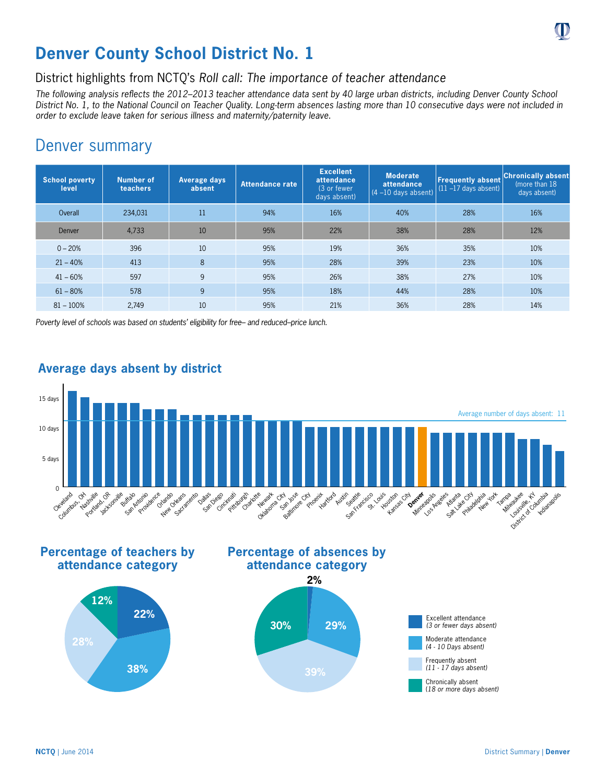

## **Denver County School District No. 1**

District highlights from NCTQ's *Roll call: The importance of teacher attendance* 

*The following analysis reflects the 2012–2013 teacher attendance data sent by 40 large urban districts, including Denver County School District No. 1, to the National Council on Teacher Quality. Long-term absences lasting more than 10 consecutive days were not included in order to exclude leave taken for serious illness and maternity/paternity leave.*

## Denver summary

| <b>School poverty</b><br>level | <b>Number of</b><br>teachers | Average days<br>absent | Attendance rate | <b>Excellent</b><br>attendance<br>(3 or fewer<br>days absent) | <b>Moderate</b><br>attendance<br>$(4 - 10$ days absent) | <b>Frequently absent</b><br>$(11 - 17$ days absent) | <b>Chronically absent</b><br>(more than 18)<br>days absent) |
|--------------------------------|------------------------------|------------------------|-----------------|---------------------------------------------------------------|---------------------------------------------------------|-----------------------------------------------------|-------------------------------------------------------------|
| Overall                        | 234,031                      | 11                     | 94%             | 16%                                                           | 40%                                                     | 28%                                                 | 16%                                                         |
| Denver                         | 4,733                        | 10                     | 95%             | 22%                                                           | 38%                                                     | 28%                                                 | 12%                                                         |
| $0 - 20%$                      | 396                          | 10                     | 95%             | 19%                                                           | 36%                                                     | 35%                                                 | 10%                                                         |
| $21 - 40%$                     | 413                          | 8                      | 95%             | 28%                                                           | 39%                                                     | 23%                                                 | 10%                                                         |
| $41 - 60%$                     | 597                          | 9                      | 95%             | 26%                                                           | 38%                                                     | 27%                                                 | 10%                                                         |
| $61 - 80%$                     | 578                          | 9                      | 95%             | 18%                                                           | 44%                                                     | 28%                                                 | 10%                                                         |
| $81 - 100%$                    | 2.749                        | 10                     | 95%             | 21%                                                           | 36%                                                     | 28%                                                 | 14%                                                         |

*Poverty level of schools was based on students' eligibility for free– and reduced–price lunch.*



## **Average days absent by district**

**Percentage of teachers by attendance category**